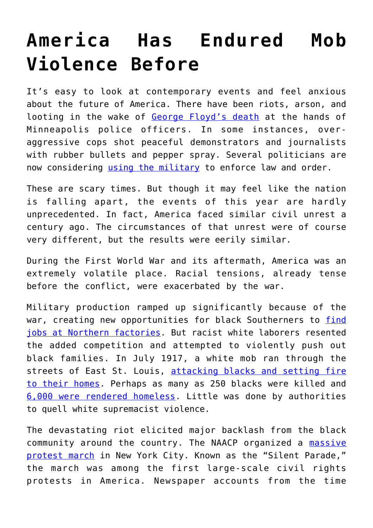## **[America Has Endured Mob](https://intellectualtakeout.org/2020/06/america-has-endured-mob-violence-before/) [Violence Before](https://intellectualtakeout.org/2020/06/america-has-endured-mob-violence-before/)**

It's easy to look at contemporary events and feel anxious about the future of America. There have been riots, arson, and looting in the wake of [George Floyd's death](https://www.intellectualtakeout.org/the-unacceptably-unjust-death-of-george-floyd/) at the hands of Minneapolis police officers. In some instances, overaggressive cops shot peaceful demonstrators and journalists with rubber bullets and pepper spray. Several politicians are now considering [using the military](https://www.intellectualtakeout.org/a-history-of-presidents-using-military-to-restore-order/) to enforce law and order.

These are scary times. But though it may feel like the nation is falling apart, the events of this year are hardly unprecedented. In fact, America faced similar civil unrest a century ago. The circumstances of that unrest were of course very different, but the results were eerily similar.

During the First World War and its aftermath, America was an extremely volatile place. Racial tensions, already tense before the conflict, were exacerbated by the war.

Military production ramped up significantly because of the war, creating new opportunities for black Southerners to [find](https://www.britannica.com/event/East-Saint-Louis-Race-Riot-of-1917) [jobs at Northern factories](https://www.britannica.com/event/East-Saint-Louis-Race-Riot-of-1917). But racist white laborers resented the added competition and attempted to violently push out black families. In July 1917, a white mob ran through the streets of East St. Louis, [attacking blacks and setting fire](https://www.smithsonianmag.com/smithsonian-institution/east-st-louis-race-riot-left-dozens-dead-devastating-community-on-the-rise-180963885/) [to their homes](https://www.smithsonianmag.com/smithsonian-institution/east-st-louis-race-riot-left-dozens-dead-devastating-community-on-the-rise-180963885/). Perhaps as many as 250 blacks were killed and [6,000 were rendered homeless](https://www.britannica.com/event/East-Saint-Louis-Race-Riot-of-1917). Little was done by authorities to quell white supremacist violence.

The devastating riot elicited major backlash from the black community around the country. The NAACP organized a [massive](https://nationalhumanitiescenter.org/pds/maai2/forward/text4/silentprotest.pdf) [protest march](https://nationalhumanitiescenter.org/pds/maai2/forward/text4/silentprotest.pdf) in New York City. Known as the "Silent Parade," the march was among the first large-scale civil rights protests in America. Newspaper accounts from the time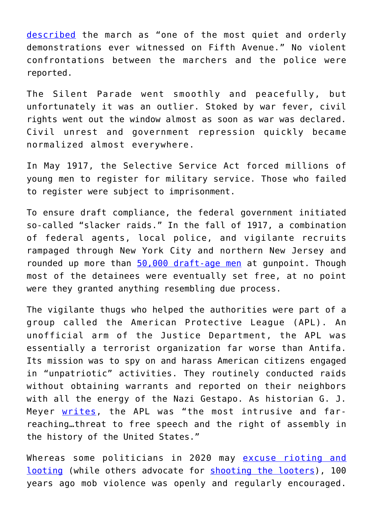[described](https://timesmachine.nytimes.com/timesmachine/1917/07/29/96262006.pdf) the march as "one of the most quiet and orderly demonstrations ever witnessed on Fifth Avenue." No violent confrontations between the marchers and the police were reported.

The Silent Parade went smoothly and peacefully, but unfortunately it was an outlier. Stoked by war fever, civil rights went out the window almost as soon as war was declared. Civil unrest and government repression quickly became normalized almost everywhere.

In May 1917, the Selective Service Act forced millions of young men to register for military service. Those who failed to register were subject to imprisonment.

To ensure draft compliance, the federal government initiated so-called "slacker raids." In the fall of 1917, a combination of federal agents, local police, and vigilante recruits rampaged through New York City and northern New Jersey and rounded up more than [50,000 draft-age men](https://guides.loc.gov/chronicling-america-wwi-draft) at gunpoint. Though most of the detainees were eventually set free, at no point were they granted anything resembling due process.

The vigilante thugs who helped the authorities were part of a group called the American Protective League (APL). An unofficial arm of the Justice Department, the APL was essentially a terrorist organization far worse than Antifa. Its mission was to spy on and harass American citizens engaged in "unpatriotic" activities. They routinely conducted raids without obtaining warrants and reported on their neighbors with all the energy of the Nazi Gestapo. As historian G. J. Meyer [writes,](https://www.google.com/books/edition/_/Niq6DAEACAAJ?hl=en&gbpv=1&bsq=intrusive) the APL was "the most intrusive and farreaching…threat to free speech and the right of assembly in the history of the United States."

Whereas some politicians in 2020 may [excuse rioting and](https://www.city-journal.org/ny-political-leaders-rationalizing-rioting-looting) [looting](https://www.city-journal.org/ny-political-leaders-rationalizing-rioting-looting) (while others advocate for [shooting the looters\)](https://twitter.com/realDonaldTrump/status/1266231100780744704), 100 years ago mob violence was openly and regularly encouraged.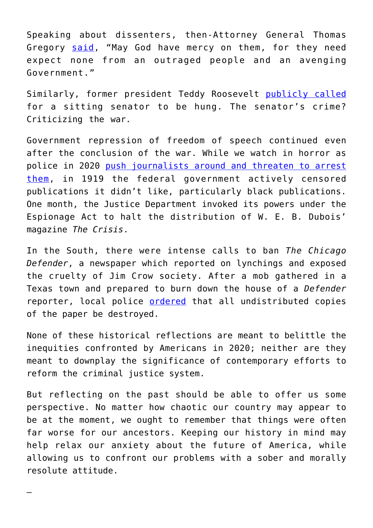Speaking about dissenters, then-Attorney General Thomas Gregory [said](https://www.google.com/books/edition/_/Niq6DAEACAAJ?hl=en&gbpv=1&bsq=thomas%20gregory), "May God have mercy on them, for they need expect none from an outraged people and an avenging Government."

Similarly, former president Teddy Roosevelt [publicly called](https://books.google.com/books?id=8CLrARjmsAgC&pg=PA235&lpg=PA235&dq=teddy+roosevelt+says+la+follette+should+be+hung&source=bl&ots=KtVmw4h2bs&sig=ACfU3U2Iu4s12FxiIbzqI_EIrM5Itm9Z3A&hl=en&sa=X&ved=2ahUKEwiC6r6mwuTpAhUCH80KHZS6AWAQ6AEwAHoECAcQAQ#v=onepage&q=teddy%20roosevelt%20says%20la%20follette%20should%20be%20hung&f=false) for a sitting senator to be hung. The senator's crime? Criticizing the war.

Government repression of freedom of speech continued even after the conclusion of the war. While we watch in horror as police in 2020 [push journalists around and threaten to arrest](https://www.youtube.com/watch?v=NN8ISwuiX68) [them,](https://www.youtube.com/watch?v=NN8ISwuiX68) in 1919 the federal government actively censored publications it didn't like, particularly black publications. One month, the Justice Department invoked its powers under the Espionage Act to halt the distribution of W. E. B. Dubois' magazine *The Crisis*.

In the South, there were intense calls to ban *The Chicago Defender*, a newspaper which reported on lynchings and exposed the cruelty of Jim Crow society. After a mob gathered in a Texas town and prepared to burn down the house of a *Defender* reporter, local police [ordered](https://www.google.com/books/edition/_/a7UMG78Z9i0C?hl=en&gbpv=1&bsq=longview) that all undistributed copies of the paper be destroyed.

None of these historical reflections are meant to belittle the inequities confronted by Americans in 2020; neither are they meant to downplay the significance of contemporary efforts to reform the criminal justice system.

But reflecting on the past should be able to offer us some perspective. No matter how chaotic our country may appear to be at the moment, we ought to remember that things were often far worse for our ancestors. Keeping our history in mind may help relax our anxiety about the future of America, while allowing us to confront our problems with a sober and morally resolute attitude.

—